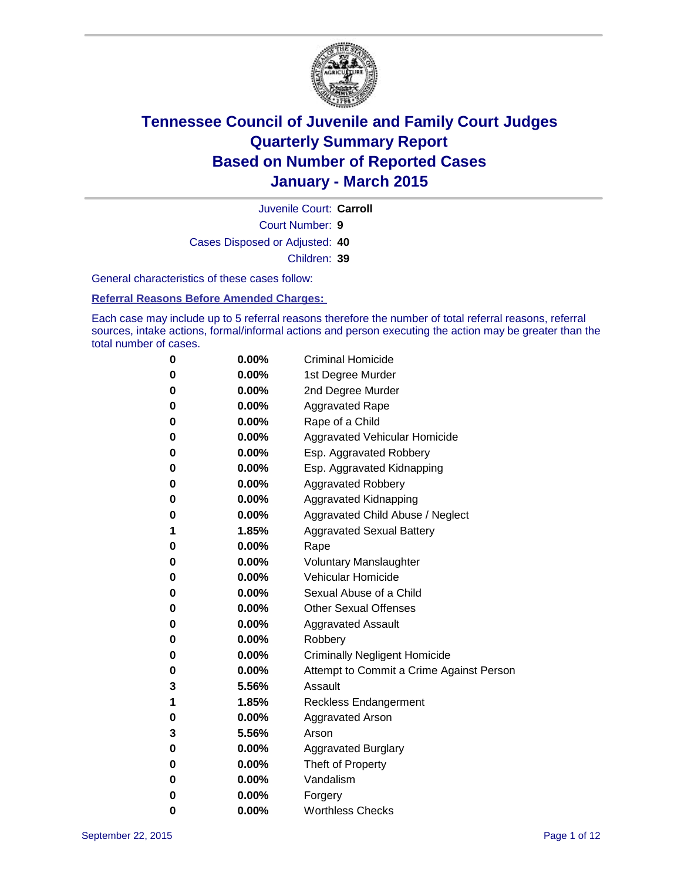

Court Number: **9** Juvenile Court: **Carroll** Cases Disposed or Adjusted: **40** Children: **39**

General characteristics of these cases follow:

#### **Referral Reasons Before Amended Charges:**

Each case may include up to 5 referral reasons therefore the number of total referral reasons, referral sources, intake actions, formal/informal actions and person executing the action may be greater than the total number of cases.

| 0        | $0.00\%$ | <b>Criminal Homicide</b>                 |
|----------|----------|------------------------------------------|
| 0        | $0.00\%$ | 1st Degree Murder                        |
| $\bf{0}$ | $0.00\%$ | 2nd Degree Murder                        |
| 0        | $0.00\%$ | <b>Aggravated Rape</b>                   |
| 0        | $0.00\%$ | Rape of a Child                          |
| 0        | $0.00\%$ | Aggravated Vehicular Homicide            |
| $\bf{0}$ | $0.00\%$ | Esp. Aggravated Robbery                  |
| 0        | $0.00\%$ | Esp. Aggravated Kidnapping               |
| $\bf{0}$ | 0.00%    | <b>Aggravated Robbery</b>                |
| $\bf{0}$ | $0.00\%$ | <b>Aggravated Kidnapping</b>             |
| 0        | 0.00%    | Aggravated Child Abuse / Neglect         |
| 1        | 1.85%    | <b>Aggravated Sexual Battery</b>         |
| $\bf{0}$ | $0.00\%$ | Rape                                     |
| 0        | $0.00\%$ | <b>Voluntary Manslaughter</b>            |
| 0        | $0.00\%$ | <b>Vehicular Homicide</b>                |
| $\bf{0}$ | $0.00\%$ | Sexual Abuse of a Child                  |
| $\bf{0}$ | $0.00\%$ | <b>Other Sexual Offenses</b>             |
| 0        | $0.00\%$ | <b>Aggravated Assault</b>                |
| 0        | $0.00\%$ | Robbery                                  |
| 0        | $0.00\%$ | <b>Criminally Negligent Homicide</b>     |
| 0        | $0.00\%$ | Attempt to Commit a Crime Against Person |
| 3        | 5.56%    | Assault                                  |
| 1        | 1.85%    | <b>Reckless Endangerment</b>             |
| 0        | $0.00\%$ | <b>Aggravated Arson</b>                  |
| 3        | 5.56%    | Arson                                    |
| $\bf{0}$ | $0.00\%$ | <b>Aggravated Burglary</b>               |
| $\bf{0}$ | $0.00\%$ | Theft of Property                        |
| 0        | $0.00\%$ | Vandalism                                |
| 0        | $0.00\%$ | Forgery                                  |
| 0        | $0.00\%$ | <b>Worthless Checks</b>                  |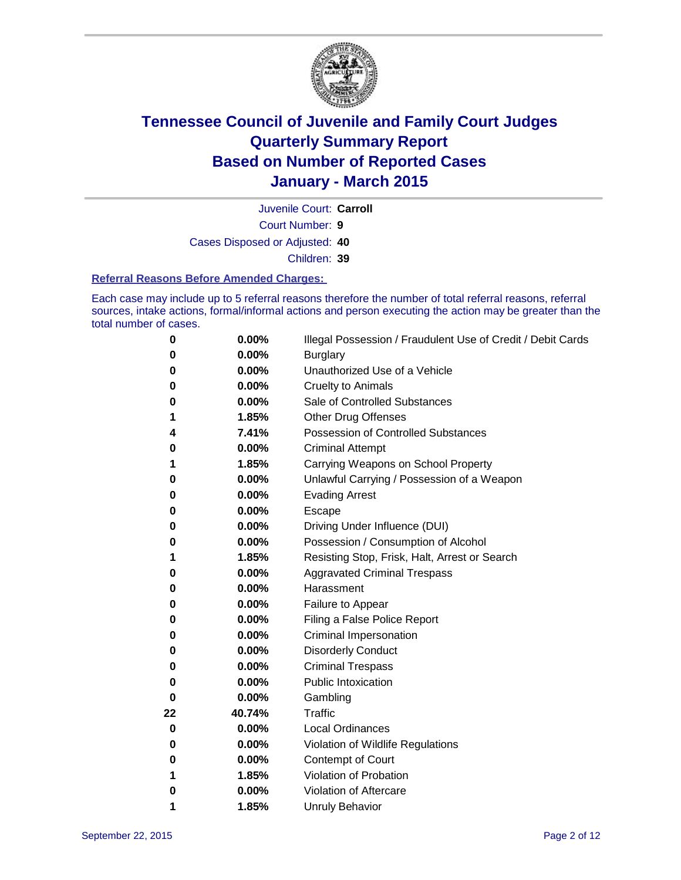

Court Number: **9** Juvenile Court: **Carroll** Cases Disposed or Adjusted: **40** Children: **39**

#### **Referral Reasons Before Amended Charges:**

Each case may include up to 5 referral reasons therefore the number of total referral reasons, referral sources, intake actions, formal/informal actions and person executing the action may be greater than the total number of cases.

| 0        | 0.00%  | Illegal Possession / Fraudulent Use of Credit / Debit Cards |
|----------|--------|-------------------------------------------------------------|
| 0        | 0.00%  | <b>Burglary</b>                                             |
| 0        | 0.00%  | Unauthorized Use of a Vehicle                               |
| 0        | 0.00%  | <b>Cruelty to Animals</b>                                   |
| 0        | 0.00%  | Sale of Controlled Substances                               |
| 1        | 1.85%  | <b>Other Drug Offenses</b>                                  |
| 4        | 7.41%  | <b>Possession of Controlled Substances</b>                  |
| 0        | 0.00%  | <b>Criminal Attempt</b>                                     |
|          | 1.85%  | Carrying Weapons on School Property                         |
| 0        | 0.00%  | Unlawful Carrying / Possession of a Weapon                  |
| 0        | 0.00%  | <b>Evading Arrest</b>                                       |
| 0        | 0.00%  | Escape                                                      |
| 0        | 0.00%  | Driving Under Influence (DUI)                               |
| 0        | 0.00%  | Possession / Consumption of Alcohol                         |
| 1        | 1.85%  | Resisting Stop, Frisk, Halt, Arrest or Search               |
| 0        | 0.00%  | <b>Aggravated Criminal Trespass</b>                         |
| 0        | 0.00%  | Harassment                                                  |
| 0        | 0.00%  | Failure to Appear                                           |
| 0        | 0.00%  | Filing a False Police Report                                |
| 0        | 0.00%  | Criminal Impersonation                                      |
| 0        | 0.00%  | <b>Disorderly Conduct</b>                                   |
| 0        | 0.00%  | <b>Criminal Trespass</b>                                    |
| 0        | 0.00%  | <b>Public Intoxication</b>                                  |
| $\bf{0}$ | 0.00%  | Gambling                                                    |
| 22       | 40.74% | <b>Traffic</b>                                              |
| 0        | 0.00%  | <b>Local Ordinances</b>                                     |
| 0        | 0.00%  | Violation of Wildlife Regulations                           |
| 0        | 0.00%  | Contempt of Court                                           |
| 1        | 1.85%  | Violation of Probation                                      |
| 0        | 0.00%  | Violation of Aftercare                                      |
| 1        | 1.85%  | <b>Unruly Behavior</b>                                      |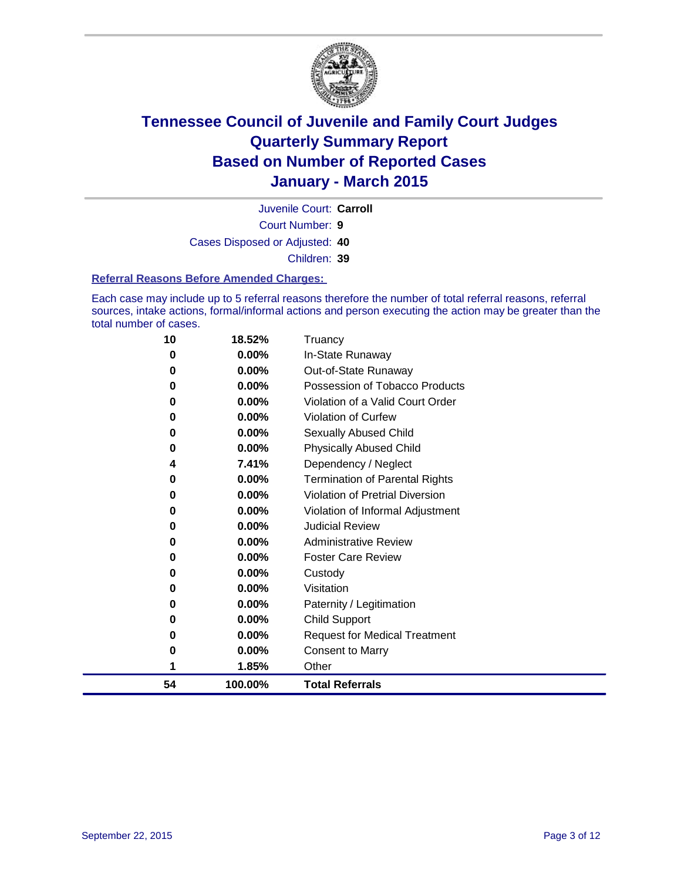

Court Number: **9** Juvenile Court: **Carroll** Cases Disposed or Adjusted: **40** Children: **39**

#### **Referral Reasons Before Amended Charges:**

Each case may include up to 5 referral reasons therefore the number of total referral reasons, referral sources, intake actions, formal/informal actions and person executing the action may be greater than the total number of cases.

| 10 | 18.52%   | Truancy                                |
|----|----------|----------------------------------------|
| 0  | 0.00%    | In-State Runaway                       |
| 0  | $0.00\%$ | Out-of-State Runaway                   |
| 0  | 0.00%    | Possession of Tobacco Products         |
| 0  | $0.00\%$ | Violation of a Valid Court Order       |
| 0  | 0.00%    | <b>Violation of Curfew</b>             |
| 0  | $0.00\%$ | Sexually Abused Child                  |
| 0  | $0.00\%$ | <b>Physically Abused Child</b>         |
| 4  | 7.41%    | Dependency / Neglect                   |
| 0  | 0.00%    | <b>Termination of Parental Rights</b>  |
| 0  | $0.00\%$ | <b>Violation of Pretrial Diversion</b> |
| 0  | $0.00\%$ | Violation of Informal Adjustment       |
| 0  | $0.00\%$ | <b>Judicial Review</b>                 |
| 0  | $0.00\%$ | <b>Administrative Review</b>           |
| 0  | $0.00\%$ | <b>Foster Care Review</b>              |
| 0  | 0.00%    | Custody                                |
| 0  | $0.00\%$ | Visitation                             |
| 0  | 0.00%    | Paternity / Legitimation               |
| 0  | $0.00\%$ | <b>Child Support</b>                   |
| 0  | 0.00%    | <b>Request for Medical Treatment</b>   |
| 0  | $0.00\%$ | <b>Consent to Marry</b>                |
| 1  | 1.85%    | Other                                  |
| 54 | 100.00%  | <b>Total Referrals</b>                 |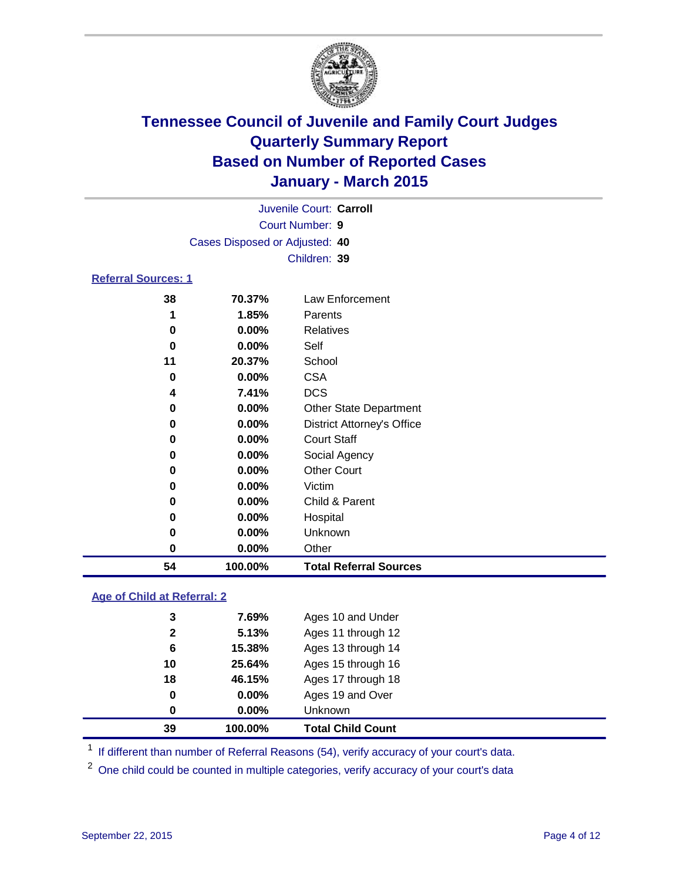

| Juvenile Court: Carroll        |
|--------------------------------|
| Court Number: 9                |
| Cases Disposed or Adjusted: 40 |
| Children: 39                   |
|                                |

### **Referral Sources: 1**

| 54 | 100.00%  | <b>Total Referral Sources</b>     |
|----|----------|-----------------------------------|
| 0  | $0.00\%$ | Other                             |
| 0  | 0.00%    | Unknown                           |
| 0  | 0.00%    | Hospital                          |
| 0  | $0.00\%$ | Child & Parent                    |
| 0  | $0.00\%$ | Victim                            |
| 0  | $0.00\%$ | <b>Other Court</b>                |
| 0  | $0.00\%$ | Social Agency                     |
| 0  | $0.00\%$ | <b>Court Staff</b>                |
| 0  | $0.00\%$ | <b>District Attorney's Office</b> |
| 0  | $0.00\%$ | <b>Other State Department</b>     |
| 4  | 7.41%    | <b>DCS</b>                        |
| 0  | $0.00\%$ | <b>CSA</b>                        |
| 11 | 20.37%   | School                            |
| 0  | $0.00\%$ | Self                              |
| 0  | 0.00%    | Relatives                         |
|    | 1.85%    | <b>Parents</b>                    |
| 38 | 70.37%   | Law Enforcement                   |

### **Age of Child at Referral: 2**

| 39           | 100.00%  | <b>Total Child Count</b> |
|--------------|----------|--------------------------|
| $\bf{0}$     | $0.00\%$ | <b>Unknown</b>           |
| 0            | $0.00\%$ | Ages 19 and Over         |
| 18           | 46.15%   | Ages 17 through 18       |
| 10           | 25.64%   | Ages 15 through 16       |
| 6            | 15.38%   | Ages 13 through 14       |
| $\mathbf{2}$ | 5.13%    | Ages 11 through 12       |
| 3            | 7.69%    | Ages 10 and Under        |

<sup>1</sup> If different than number of Referral Reasons (54), verify accuracy of your court's data.

One child could be counted in multiple categories, verify accuracy of your court's data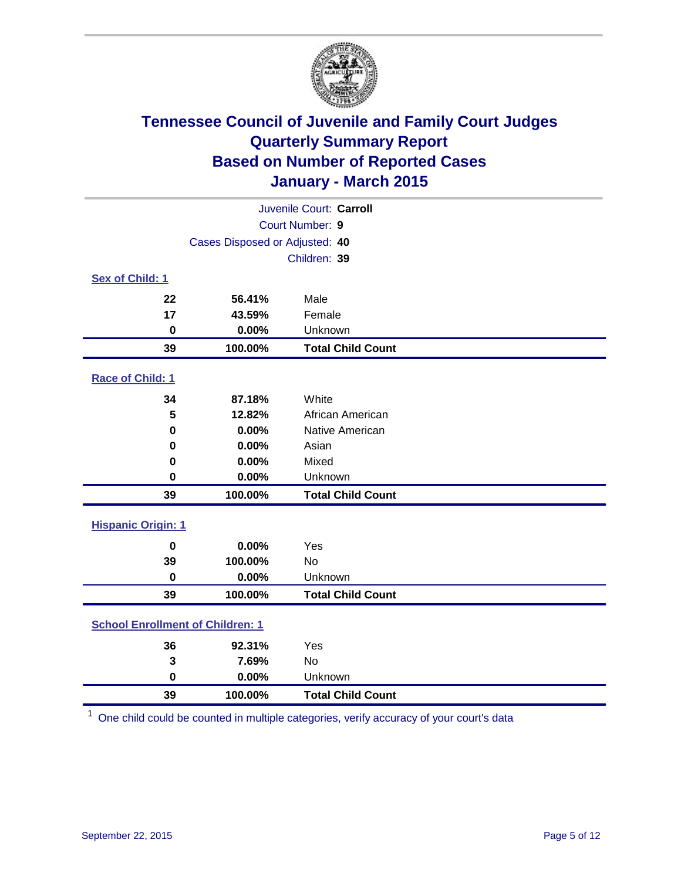

|                                         | Juvenile Court: Carroll        |                          |  |  |  |
|-----------------------------------------|--------------------------------|--------------------------|--|--|--|
|                                         |                                | Court Number: 9          |  |  |  |
|                                         | Cases Disposed or Adjusted: 40 |                          |  |  |  |
|                                         |                                | Children: 39             |  |  |  |
| Sex of Child: 1                         |                                |                          |  |  |  |
| 22                                      | 56.41%                         | Male                     |  |  |  |
| 17                                      | 43.59%                         | Female                   |  |  |  |
| $\bf{0}$                                | 0.00%                          | Unknown                  |  |  |  |
| 39                                      | 100.00%                        | <b>Total Child Count</b> |  |  |  |
| Race of Child: 1                        |                                |                          |  |  |  |
| 34                                      | 87.18%                         | White                    |  |  |  |
| 5                                       | 12.82%                         | African American         |  |  |  |
| 0                                       | 0.00%                          | Native American          |  |  |  |
| 0                                       | 0.00%                          | Asian                    |  |  |  |
| 0                                       | 0.00%                          | Mixed                    |  |  |  |
| 0                                       | 0.00%                          | Unknown                  |  |  |  |
| 39                                      | 100.00%                        | <b>Total Child Count</b> |  |  |  |
| <b>Hispanic Origin: 1</b>               |                                |                          |  |  |  |
| $\mathbf 0$                             | 0.00%                          | Yes                      |  |  |  |
| 39                                      | 100.00%                        | <b>No</b>                |  |  |  |
| $\mathbf 0$                             | 0.00%                          | Unknown                  |  |  |  |
| 39                                      | 100.00%                        | <b>Total Child Count</b> |  |  |  |
| <b>School Enrollment of Children: 1</b> |                                |                          |  |  |  |
| 36                                      | 92.31%                         | Yes                      |  |  |  |
| 3                                       | 7.69%                          | No                       |  |  |  |
| $\mathbf 0$                             | 0.00%                          | Unknown                  |  |  |  |
| 39                                      | 100.00%                        | <b>Total Child Count</b> |  |  |  |

One child could be counted in multiple categories, verify accuracy of your court's data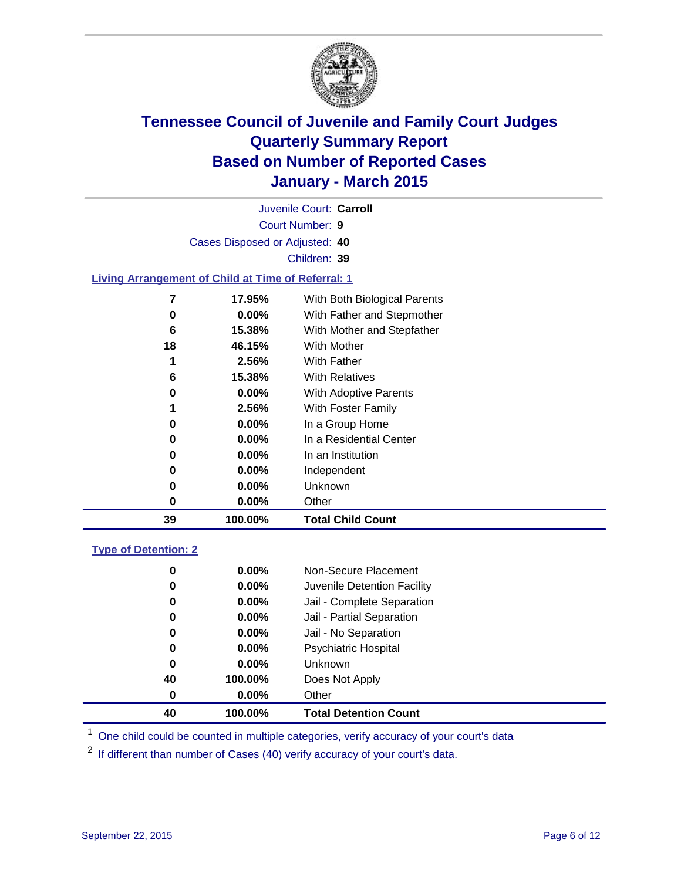

Court Number: **9** Juvenile Court: **Carroll** Cases Disposed or Adjusted: **40** Children: **39**

### **Living Arrangement of Child at Time of Referral: 1**

| 7  | 17.95%   | With Both Biological Parents |
|----|----------|------------------------------|
| 0  | $0.00\%$ | With Father and Stepmother   |
| 6  | 15.38%   | With Mother and Stepfather   |
| 18 | 46.15%   | With Mother                  |
| 1  | 2.56%    | With Father                  |
| 6  | 15.38%   | <b>With Relatives</b>        |
| 0  | $0.00\%$ | <b>With Adoptive Parents</b> |
| 1  | 2.56%    | With Foster Family           |
| 0  | $0.00\%$ | In a Group Home              |
| 0  | $0.00\%$ | In a Residential Center      |
| 0  | $0.00\%$ | In an Institution            |
| 0  | $0.00\%$ | Independent                  |
| 0  | $0.00\%$ | Unknown                      |
| 0  | $0.00\%$ | Other                        |
| 39 | 100.00%  | <b>Total Child Count</b>     |

#### **Type of Detention: 2**

| 0  | $0.00\%$ | Non-Secure Placement         |  |
|----|----------|------------------------------|--|
| 0  | 0.00%    | Juvenile Detention Facility  |  |
| 0  | $0.00\%$ | Jail - Complete Separation   |  |
| 0  | 0.00%    | Jail - Partial Separation    |  |
| 0  | $0.00\%$ | Jail - No Separation         |  |
| 0  | $0.00\%$ | <b>Psychiatric Hospital</b>  |  |
| 0  | $0.00\%$ | <b>Unknown</b>               |  |
| 40 | 100.00%  | Does Not Apply               |  |
| 0  | $0.00\%$ | Other                        |  |
| 40 | 100.00%  | <b>Total Detention Count</b> |  |

<sup>1</sup> One child could be counted in multiple categories, verify accuracy of your court's data

If different than number of Cases (40) verify accuracy of your court's data.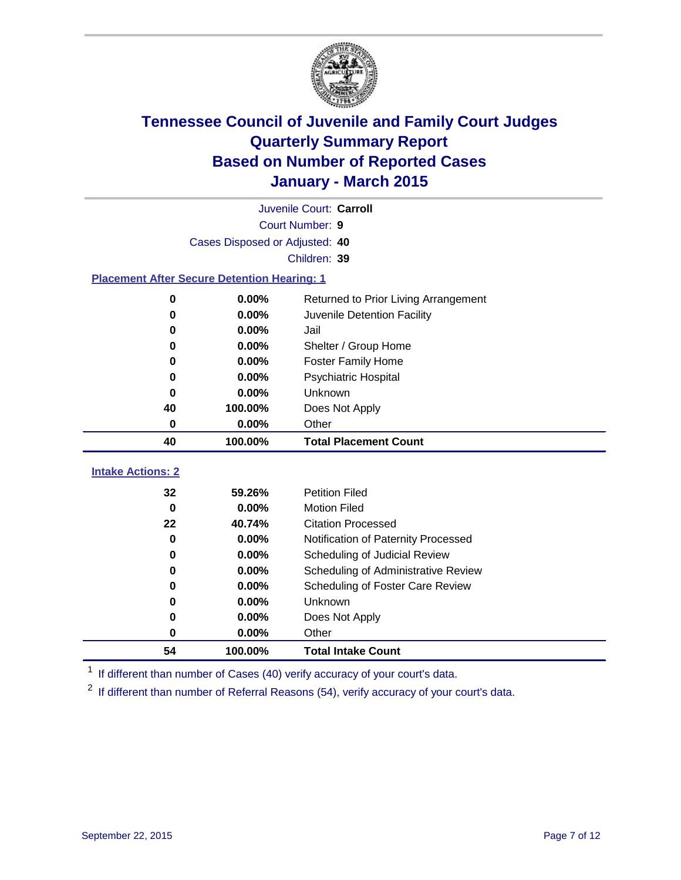

|                                                    | Juvenile Court: Carroll        |                                      |  |  |  |  |
|----------------------------------------------------|--------------------------------|--------------------------------------|--|--|--|--|
|                                                    | <b>Court Number: 9</b>         |                                      |  |  |  |  |
|                                                    | Cases Disposed or Adjusted: 40 |                                      |  |  |  |  |
|                                                    |                                | Children: 39                         |  |  |  |  |
| <b>Placement After Secure Detention Hearing: 1</b> |                                |                                      |  |  |  |  |
| 0                                                  | 0.00%                          | Returned to Prior Living Arrangement |  |  |  |  |
| O                                                  | 0.00%                          | Juvenile Detention Facility          |  |  |  |  |
| 0                                                  | 0.00%                          | Jail                                 |  |  |  |  |
| 0                                                  | 0.00%                          | Shelter / Group Home                 |  |  |  |  |
| 0                                                  | 0.00%                          | <b>Foster Family Home</b>            |  |  |  |  |
| 0                                                  | 0.00%                          | <b>Psychiatric Hospital</b>          |  |  |  |  |
| 0                                                  | 0.00%                          | Unknown                              |  |  |  |  |
| 40                                                 | 100.00%                        | Does Not Apply                       |  |  |  |  |
| 0                                                  | 0.00%                          | Other                                |  |  |  |  |
| 40                                                 | 100.00%                        | <b>Total Placement Count</b>         |  |  |  |  |
| <b>Intake Actions: 2</b>                           |                                |                                      |  |  |  |  |
| 32                                                 | 59.26%                         | <b>Petition Filed</b>                |  |  |  |  |
| $\bf{0}$                                           | 0.00%                          | <b>Motion Filed</b>                  |  |  |  |  |
| 22                                                 | 40.74%                         | <b>Citation Processed</b>            |  |  |  |  |
| $\bf{0}$                                           | 0.00%                          | Notification of Paternity Processed  |  |  |  |  |
| 0                                                  | 0.00%                          | Scheduling of Judicial Review        |  |  |  |  |
| 0                                                  | 0.00%                          | Scheduling of Administrative Review  |  |  |  |  |
| 0                                                  | 0.00%                          | Scheduling of Foster Care Review     |  |  |  |  |
| 0                                                  | 0.00%                          | <b>Unknown</b>                       |  |  |  |  |
| 0                                                  |                                |                                      |  |  |  |  |
|                                                    | 0.00%                          | Does Not Apply                       |  |  |  |  |

<sup>1</sup> If different than number of Cases (40) verify accuracy of your court's data.

**100.00% Total Intake Count**

<sup>2</sup> If different than number of Referral Reasons (54), verify accuracy of your court's data.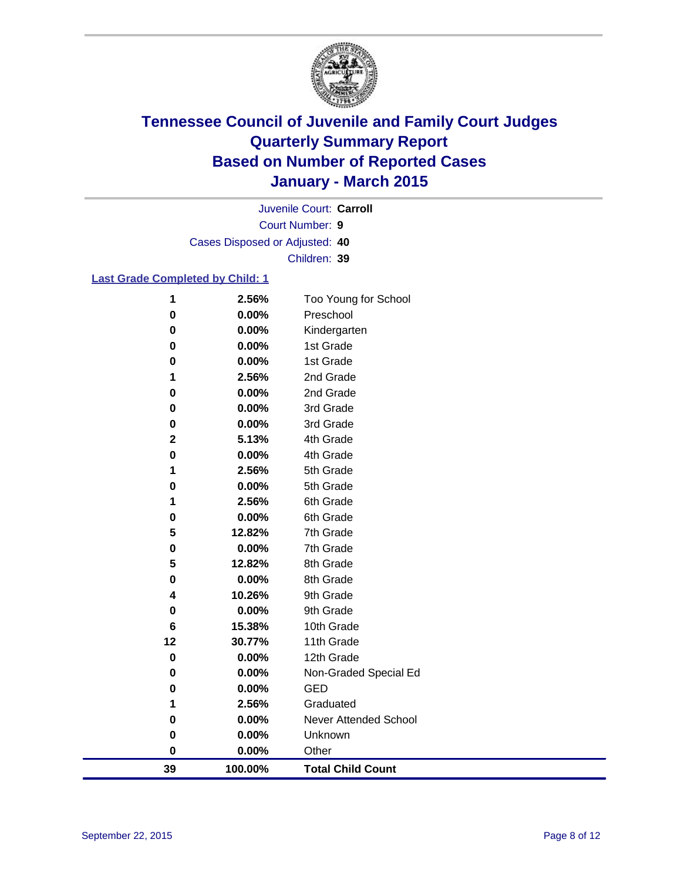

Court Number: **9** Juvenile Court: **Carroll** Cases Disposed or Adjusted: **40** Children: **39**

### **Last Grade Completed by Child: 1**

| 1           | 2.56%   | Too Young for School         |
|-------------|---------|------------------------------|
| $\bf{0}$    | 0.00%   | Preschool                    |
| $\bf{0}$    | 0.00%   | Kindergarten                 |
| 0           | 0.00%   | 1st Grade                    |
| 0           | 0.00%   | 1st Grade                    |
| 1           | 2.56%   | 2nd Grade                    |
| $\bf{0}$    | 0.00%   | 2nd Grade                    |
| $\bf{0}$    | 0.00%   | 3rd Grade                    |
| $\bf{0}$    | 0.00%   | 3rd Grade                    |
| $\mathbf 2$ | 5.13%   | 4th Grade                    |
| 0           | 0.00%   | 4th Grade                    |
| 1           | 2.56%   | 5th Grade                    |
| $\bf{0}$    | 0.00%   | 5th Grade                    |
| 1           | 2.56%   | 6th Grade                    |
| 0           | 0.00%   | 6th Grade                    |
| 5           | 12.82%  | 7th Grade                    |
| $\bf{0}$    | 0.00%   | 7th Grade                    |
| 5           | 12.82%  | 8th Grade                    |
| 0           | 0.00%   | 8th Grade                    |
| 4           | 10.26%  | 9th Grade                    |
| 0           | 0.00%   | 9th Grade                    |
| 6           | 15.38%  | 10th Grade                   |
| 12          | 30.77%  | 11th Grade                   |
| $\bf{0}$    | 0.00%   | 12th Grade                   |
| $\bf{0}$    | 0.00%   | Non-Graded Special Ed        |
| 0           | 0.00%   | <b>GED</b>                   |
| 1           | 2.56%   | Graduated                    |
| $\bf{0}$    | 0.00%   | <b>Never Attended School</b> |
| $\bf{0}$    | 0.00%   | Unknown                      |
| $\bf{0}$    | 0.00%   | Other                        |
| 39          | 100.00% | <b>Total Child Count</b>     |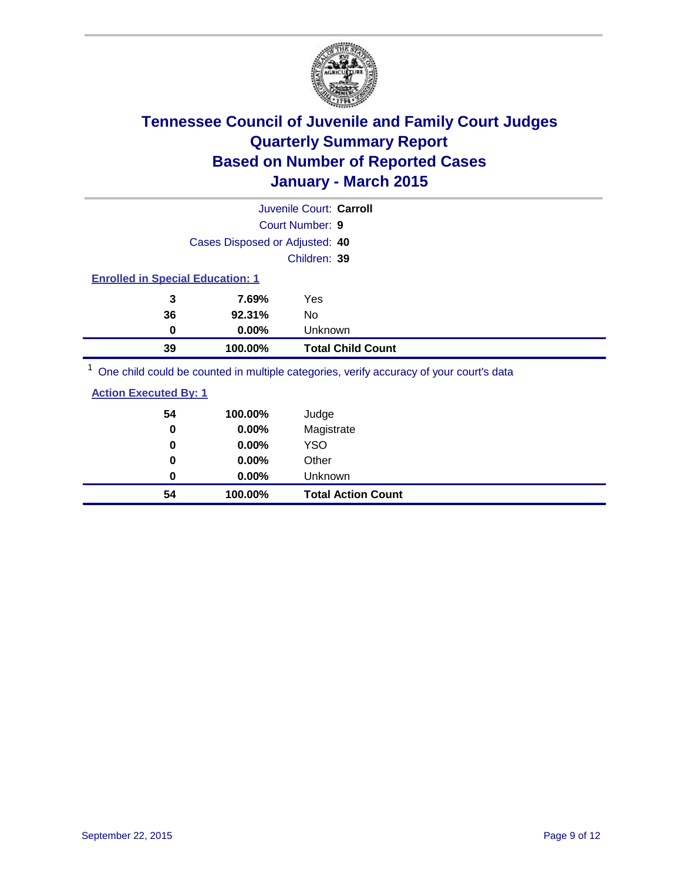

| Juvenile Court: Carroll                 |                                |                                                                                         |  |
|-----------------------------------------|--------------------------------|-----------------------------------------------------------------------------------------|--|
|                                         |                                | <b>Court Number: 9</b>                                                                  |  |
|                                         | Cases Disposed or Adjusted: 40 |                                                                                         |  |
|                                         |                                | Children: 39                                                                            |  |
| <b>Enrolled in Special Education: 1</b> |                                |                                                                                         |  |
| 3                                       | 7.69%                          | Yes                                                                                     |  |
| 36                                      | 92.31%                         | No                                                                                      |  |
| 0                                       | $0.00\%$                       | Unknown                                                                                 |  |
| 39                                      | 100.00%                        | <b>Total Child Count</b>                                                                |  |
|                                         |                                | One objet could be counted in multiple optogeties, verify acouragy of your courtie data |  |

<sup>1</sup> One child could be counted in multiple categories, verify accuracy of your court's data

| <b>Action Executed By: 1</b> |  |
|------------------------------|--|
|                              |  |

| 54 | 100.00%  | Judge                     |
|----|----------|---------------------------|
| 0  | 0.00%    | Magistrate                |
| 0  | $0.00\%$ | <b>YSO</b>                |
| 0  | $0.00\%$ | Other                     |
| 0  | $0.00\%$ | Unknown                   |
| 54 | 100.00%  | <b>Total Action Count</b> |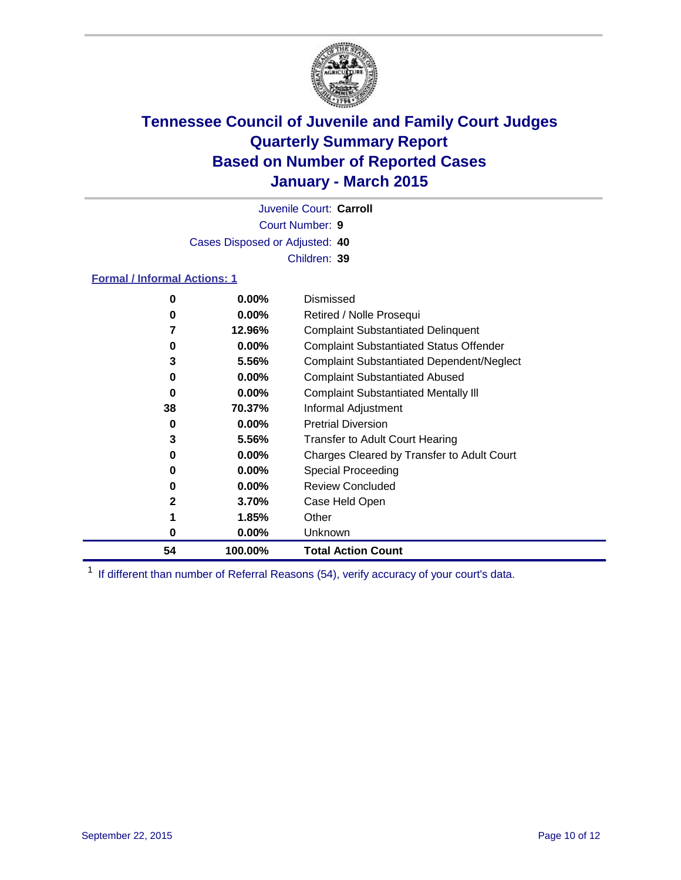

Court Number: **9** Juvenile Court: **Carroll** Cases Disposed or Adjusted: **40** Children: **39**

### **Formal / Informal Actions: 1**

| 0  | $0.00\%$ | Dismissed                                        |
|----|----------|--------------------------------------------------|
| 0  | $0.00\%$ | Retired / Nolle Prosequi                         |
|    | 12.96%   | <b>Complaint Substantiated Delinquent</b>        |
| 0  | $0.00\%$ | <b>Complaint Substantiated Status Offender</b>   |
| 3  | 5.56%    | <b>Complaint Substantiated Dependent/Neglect</b> |
| 0  | $0.00\%$ | <b>Complaint Substantiated Abused</b>            |
| 0  | $0.00\%$ | <b>Complaint Substantiated Mentally III</b>      |
| 38 | 70.37%   | Informal Adjustment                              |
| 0  | $0.00\%$ | <b>Pretrial Diversion</b>                        |
| 3  | 5.56%    | <b>Transfer to Adult Court Hearing</b>           |
| 0  | $0.00\%$ | Charges Cleared by Transfer to Adult Court       |
| 0  | $0.00\%$ | <b>Special Proceeding</b>                        |
| 0  | $0.00\%$ | <b>Review Concluded</b>                          |
| 2  | 3.70%    | Case Held Open                                   |
|    | 1.85%    | Other                                            |
| 0  | $0.00\%$ | Unknown                                          |
| 54 | 100.00%  | <b>Total Action Count</b>                        |

<sup>1</sup> If different than number of Referral Reasons (54), verify accuracy of your court's data.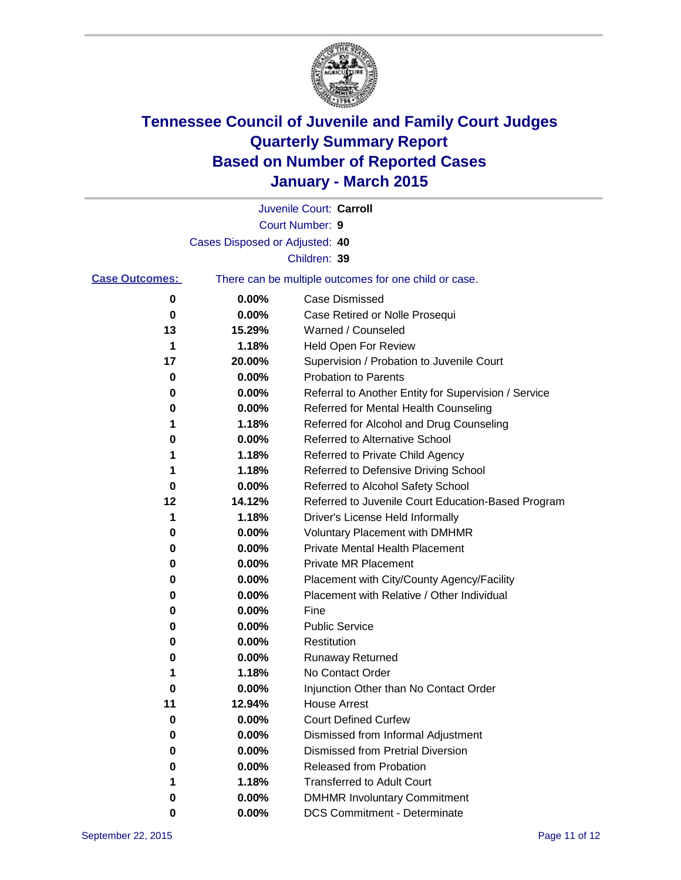

|                       |                                | Juvenile Court: Carroll                               |
|-----------------------|--------------------------------|-------------------------------------------------------|
|                       |                                | Court Number: 9                                       |
|                       | Cases Disposed or Adjusted: 40 |                                                       |
|                       |                                | Children: 39                                          |
| <b>Case Outcomes:</b> |                                | There can be multiple outcomes for one child or case. |
| 0                     | 0.00%                          | <b>Case Dismissed</b>                                 |
| 0                     | 0.00%                          | Case Retired or Nolle Prosequi                        |
| 13                    | 15.29%                         | Warned / Counseled                                    |
| 1                     | 1.18%                          | <b>Held Open For Review</b>                           |
| 17                    | 20.00%                         | Supervision / Probation to Juvenile Court             |
| 0                     | 0.00%                          | <b>Probation to Parents</b>                           |
| 0                     | 0.00%                          | Referral to Another Entity for Supervision / Service  |
| 0                     | 0.00%                          | Referred for Mental Health Counseling                 |
| 1                     | 1.18%                          | Referred for Alcohol and Drug Counseling              |
| 0                     | 0.00%                          | <b>Referred to Alternative School</b>                 |
| 1                     | 1.18%                          | Referred to Private Child Agency                      |
| 1                     | 1.18%                          | Referred to Defensive Driving School                  |
| 0                     | 0.00%                          | Referred to Alcohol Safety School                     |
| 12                    | 14.12%                         | Referred to Juvenile Court Education-Based Program    |
| 1                     | 1.18%                          | Driver's License Held Informally                      |
| 0                     | 0.00%                          | <b>Voluntary Placement with DMHMR</b>                 |
| 0                     | 0.00%                          | <b>Private Mental Health Placement</b>                |
| 0                     | 0.00%                          | Private MR Placement                                  |
| 0                     | 0.00%                          | Placement with City/County Agency/Facility            |
| 0                     | 0.00%                          | Placement with Relative / Other Individual            |
| 0                     | 0.00%                          | Fine                                                  |
| 0                     | 0.00%                          | <b>Public Service</b>                                 |
| 0                     | 0.00%                          | Restitution                                           |
| 0                     | 0.00%                          | <b>Runaway Returned</b>                               |
|                       | 1.18%                          | No Contact Order                                      |
| 0                     | 0.00%                          | Injunction Other than No Contact Order                |
| 11                    | 12.94%                         | <b>House Arrest</b>                                   |
| 0                     | 0.00%                          | <b>Court Defined Curfew</b>                           |
| 0                     | 0.00%                          | Dismissed from Informal Adjustment                    |
| 0                     | 0.00%                          | <b>Dismissed from Pretrial Diversion</b>              |
| 0                     | 0.00%                          | Released from Probation                               |
|                       | 1.18%                          | <b>Transferred to Adult Court</b>                     |
| 0                     | 0.00%                          | <b>DMHMR Involuntary Commitment</b>                   |
| 0                     | $0.00\%$                       | <b>DCS Commitment - Determinate</b>                   |